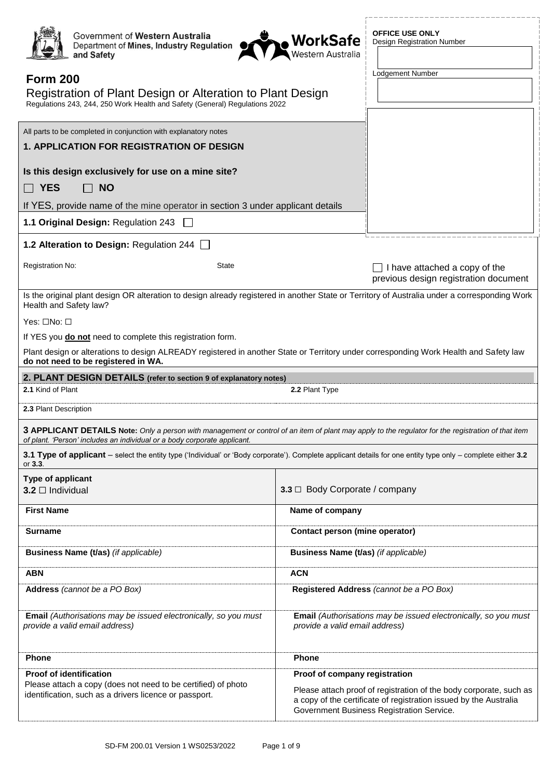| Government of Western Australia<br>Department of Mines, Industry Regulation<br>and Safety<br><b>Form 200</b><br>Registration of Plant Design or Alteration to Plant Design<br>Regulations 243, 244, 250 Work Health and Safety (General) Regulations 2022<br>All parts to be completed in conjunction with explanatory notes<br><b>1. APPLICATION FOR REGISTRATION OF DESIGN</b> | <b>OFFICE USE ONLY</b><br><b>WorkSafe</b><br><sub>Western Australia</sub><br><b>Design Registration Number</b><br>Lodgement Number                           |
|----------------------------------------------------------------------------------------------------------------------------------------------------------------------------------------------------------------------------------------------------------------------------------------------------------------------------------------------------------------------------------|--------------------------------------------------------------------------------------------------------------------------------------------------------------|
| Is this design exclusively for use on a mine site?                                                                                                                                                                                                                                                                                                                               |                                                                                                                                                              |
| $\sqcap$ Yes<br><b>NO</b>                                                                                                                                                                                                                                                                                                                                                        |                                                                                                                                                              |
| If YES, provide name of the mine operator in section 3 under applicant details                                                                                                                                                                                                                                                                                                   |                                                                                                                                                              |
| 1.1 Original Design: Regulation 243                                                                                                                                                                                                                                                                                                                                              |                                                                                                                                                              |
| 1.2 Alteration to Design: Regulation 244                                                                                                                                                                                                                                                                                                                                         |                                                                                                                                                              |
| Registration No:<br>State                                                                                                                                                                                                                                                                                                                                                        | I have attached a copy of the<br>previous design registration document                                                                                       |
| Health and Safety law?                                                                                                                                                                                                                                                                                                                                                           | Is the original plant design OR alteration to design already registered in another State or Territory of Australia under a corresponding Work                |
| Yes: □No: □                                                                                                                                                                                                                                                                                                                                                                      |                                                                                                                                                              |
| If YES you <b>do not</b> need to complete this registration form.                                                                                                                                                                                                                                                                                                                |                                                                                                                                                              |
| do not need to be registered in WA.                                                                                                                                                                                                                                                                                                                                              | Plant design or alterations to design ALREADY registered in another State or Territory under corresponding Work Health and Safety law                        |
| 2. PLANT DESIGN DETAILS (refer to section 9 of explanatory notes)                                                                                                                                                                                                                                                                                                                |                                                                                                                                                              |
|                                                                                                                                                                                                                                                                                                                                                                                  |                                                                                                                                                              |
| 2.1 Kind of Plant                                                                                                                                                                                                                                                                                                                                                                | 2.2 Plant Type                                                                                                                                               |
| 2.3 Plant Description                                                                                                                                                                                                                                                                                                                                                            |                                                                                                                                                              |
| of plant. 'Person' includes an individual or a body corporate applicant.                                                                                                                                                                                                                                                                                                         | 3 APPLICANT DETAILS Note: Only a person with management or control of an item of plant may apply to the regulator for the registration of that item          |
| or $3.3.$                                                                                                                                                                                                                                                                                                                                                                        | 3.1 Type of applicant – select the entity type ('Individual' or 'Body corporate'). Complete applicant details for one entity type only – complete either 3.2 |
| Type of applicant                                                                                                                                                                                                                                                                                                                                                                |                                                                                                                                                              |
| $3.2 \square$ Individual                                                                                                                                                                                                                                                                                                                                                         | 3.3 $\Box$ Body Corporate / company                                                                                                                          |
| <b>First Name</b>                                                                                                                                                                                                                                                                                                                                                                | Name of company                                                                                                                                              |
| <b>Surname</b>                                                                                                                                                                                                                                                                                                                                                                   | Contact person (mine operator)                                                                                                                               |
| Business Name (t/as) (if applicable)                                                                                                                                                                                                                                                                                                                                             | Business Name (t/as) (if applicable)                                                                                                                         |
| <b>ABN</b>                                                                                                                                                                                                                                                                                                                                                                       | <b>ACN</b>                                                                                                                                                   |
| Address (cannot be a PO Box)                                                                                                                                                                                                                                                                                                                                                     | Registered Address (cannot be a PO Box)                                                                                                                      |
| Email (Authorisations may be issued electronically, so you must<br>provide a valid email address)                                                                                                                                                                                                                                                                                | Email (Authorisations may be issued electronically, so you must<br>provide a valid email address)                                                            |
| Phone                                                                                                                                                                                                                                                                                                                                                                            | Phone                                                                                                                                                        |
| <b>Proof of identification</b><br>Please attach a copy (does not need to be certified) of photo                                                                                                                                                                                                                                                                                  | Proof of company registration                                                                                                                                |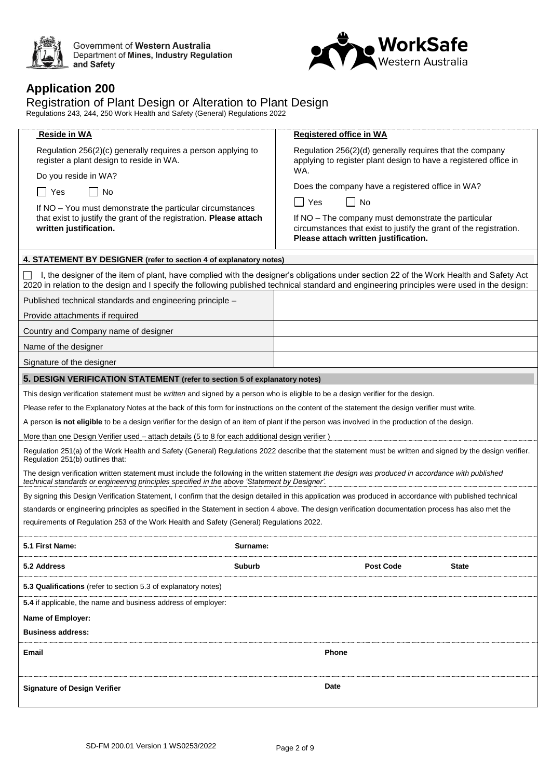

Government of Western Australia<br>Department of Mines, Industry Regulation<br>and Safety



#### **Application 200**

#### Registration of Plant Design or Alteration to Plant Design

Regulations 243, 244, 250 Work Health and Safety (General) Regulations 2022

| Reside in WA                                                                                                                                                                                                                                                                          | <b>Registered office in WA</b>                                                                                                                                    |  |  |
|---------------------------------------------------------------------------------------------------------------------------------------------------------------------------------------------------------------------------------------------------------------------------------------|-------------------------------------------------------------------------------------------------------------------------------------------------------------------|--|--|
| Regulation 256(2)(c) generally requires a person applying to<br>register a plant design to reside in WA.                                                                                                                                                                              | Regulation 256(2)(d) generally requires that the company<br>applying to register plant design to have a registered office in<br>WA.                               |  |  |
| Do you reside in WA?                                                                                                                                                                                                                                                                  | Does the company have a registered office in WA?                                                                                                                  |  |  |
| No<br>Yes<br>$\overline{\phantom{a}}$                                                                                                                                                                                                                                                 | No<br>Yes                                                                                                                                                         |  |  |
| If NO - You must demonstrate the particular circumstances<br>that exist to justify the grant of the registration. Please attach<br>written justification.                                                                                                                             | If NO – The company must demonstrate the particular<br>circumstances that exist to justify the grant of the registration.<br>Please attach written justification. |  |  |
| 4. STATEMENT BY DESIGNER (refer to section 4 of explanatory notes)                                                                                                                                                                                                                    |                                                                                                                                                                   |  |  |
| I, the designer of the item of plant, have complied with the designer's obligations under section 22 of the Work Health and Safety Act<br>2020 in relation to the design and I specify the following published technical standard and engineering principles were used in the design: |                                                                                                                                                                   |  |  |
| Published technical standards and engineering principle -                                                                                                                                                                                                                             |                                                                                                                                                                   |  |  |
| Provide attachments if required                                                                                                                                                                                                                                                       |                                                                                                                                                                   |  |  |
| Country and Company name of designer                                                                                                                                                                                                                                                  |                                                                                                                                                                   |  |  |
| Name of the designer                                                                                                                                                                                                                                                                  |                                                                                                                                                                   |  |  |
| Signature of the designer                                                                                                                                                                                                                                                             |                                                                                                                                                                   |  |  |
| 5. DESIGN VERIFICATION STATEMENT (refer to section 5 of explanatory notes)                                                                                                                                                                                                            |                                                                                                                                                                   |  |  |
| This design verification statement must be written and signed by a person who is eligible to be a design verifier for the design.                                                                                                                                                     |                                                                                                                                                                   |  |  |
| Please refer to the Explanatory Notes at the back of this form for instructions on the content of the statement the design verifier must write.                                                                                                                                       |                                                                                                                                                                   |  |  |
| A person is not eligible to be a design verifier for the design of an item of plant if the person was involved in the production of the design.                                                                                                                                       |                                                                                                                                                                   |  |  |
| More than one Design Verifier used - attach details (5 to 8 for each additional design verifier)                                                                                                                                                                                      |                                                                                                                                                                   |  |  |
| Regulation 251(b) outlines that:                                                                                                                                                                                                                                                      | Regulation 251(a) of the Work Health and Safety (General) Regulations 2022 describe that the statement must be written and signed by the design verifier.         |  |  |
| technical standards or engineering principles specified in the above 'Statement by Designer'.                                                                                                                                                                                         | The design verification written statement must include the following in the written statement the design was produced in accordance with published                |  |  |
|                                                                                                                                                                                                                                                                                       | By signing this Design Verification Statement, I confirm that the design detailed in this application was produced in accordance with published technical         |  |  |
|                                                                                                                                                                                                                                                                                       | standards or engineering principles as specified in the Statement in section 4 above. The design verification documentation process has also met the              |  |  |
| requirements of Regulation 253 of the Work Health and Safety (General) Regulations 2022.                                                                                                                                                                                              |                                                                                                                                                                   |  |  |
| 5.1 First Name:<br>Surname:                                                                                                                                                                                                                                                           |                                                                                                                                                                   |  |  |
| 5.2 Address<br><b>Suburb</b>                                                                                                                                                                                                                                                          | <b>Post Code</b><br><b>State</b>                                                                                                                                  |  |  |
| 5.3 Qualifications (refer to section 5.3 of explanatory notes)                                                                                                                                                                                                                        |                                                                                                                                                                   |  |  |
| 5.4 if applicable, the name and business address of employer:                                                                                                                                                                                                                         |                                                                                                                                                                   |  |  |
| Name of Employer:                                                                                                                                                                                                                                                                     |                                                                                                                                                                   |  |  |
| <b>Business address:</b>                                                                                                                                                                                                                                                              |                                                                                                                                                                   |  |  |
| Email                                                                                                                                                                                                                                                                                 | Phone                                                                                                                                                             |  |  |
| <b>Signature of Design Verifier</b>                                                                                                                                                                                                                                                   | Date                                                                                                                                                              |  |  |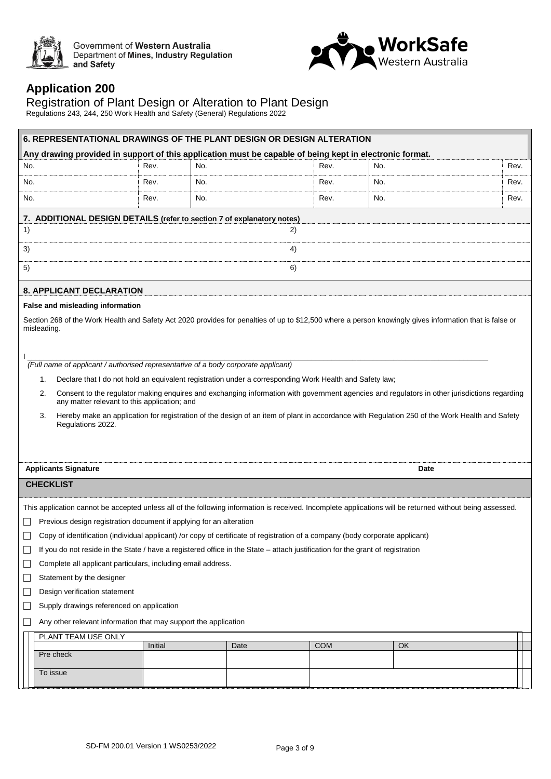

Government of Western Australia<br>Department of Mines, Industry Regulation<br>and Safety



### **Application 200**

#### Registration of Plant Design or Alteration to Plant Design

Regulations 243, 244, 250 Work Health and Safety (General) Regulations 2022

| 6. REPRESENTATIONAL DRAWINGS OF THE PLANT DESIGN OR DESIGN ALTERATION                                                          |         |      |    |            |                                                                                                                                                           |      |
|--------------------------------------------------------------------------------------------------------------------------------|---------|------|----|------------|-----------------------------------------------------------------------------------------------------------------------------------------------------------|------|
| Any drawing provided in support of this application must be capable of being kept in electronic format.                        |         |      |    |            |                                                                                                                                                           |      |
| No.                                                                                                                            | Rev.    | No.  |    | Rev.       | No.                                                                                                                                                       | Rev. |
| No.                                                                                                                            | Rev.    | No.  |    | Rev.       | No.                                                                                                                                                       | Rev. |
| No.                                                                                                                            | Rev.    | No.  |    | Rev.       | No.                                                                                                                                                       | Rev. |
| 7. ADDITIONAL DESIGN DETAILS (refer to section 7 of explanatory notes)                                                         |         |      |    |            |                                                                                                                                                           |      |
| 1)                                                                                                                             |         |      | 2) |            |                                                                                                                                                           |      |
| 3)                                                                                                                             |         |      | 4) |            |                                                                                                                                                           |      |
| 5)                                                                                                                             |         |      | 6) |            |                                                                                                                                                           |      |
| <b>8. APPLICANT DECLARATION</b>                                                                                                |         |      |    |            |                                                                                                                                                           |      |
| False and misleading information                                                                                               |         |      |    |            |                                                                                                                                                           |      |
| misleading.                                                                                                                    |         |      |    |            | Section 268 of the Work Health and Safety Act 2020 provides for penalties of up to \$12,500 where a person knowingly gives information that is false or   |      |
|                                                                                                                                |         |      |    |            |                                                                                                                                                           |      |
| (Full name of applicant / authorised representative of a body corporate applicant)                                             |         |      |    |            |                                                                                                                                                           |      |
| Declare that I do not hold an equivalent registration under a corresponding Work Health and Safety law;<br>1.                  |         |      |    |            |                                                                                                                                                           |      |
| 2.                                                                                                                             |         |      |    |            | Consent to the regulator making enquires and exchanging information with government agencies and regulators in other jurisdictions regarding              |      |
| any matter relevant to this application; and                                                                                   |         |      |    |            |                                                                                                                                                           |      |
| 3.<br>Regulations 2022.                                                                                                        |         |      |    |            | Hereby make an application for registration of the design of an item of plant in accordance with Regulation 250 of the Work Health and Safety             |      |
|                                                                                                                                |         |      |    |            |                                                                                                                                                           |      |
|                                                                                                                                |         |      |    |            |                                                                                                                                                           |      |
| <b>Applicants Signature</b>                                                                                                    |         |      |    |            | Date                                                                                                                                                      |      |
| <b>CHECKLIST</b>                                                                                                               |         |      |    |            |                                                                                                                                                           |      |
|                                                                                                                                |         |      |    |            | This application cannot be accepted unless all of the following information is received. Incomplete applications will be returned without being assessed. |      |
| Previous design registration document if applying for an alteration                                                            |         |      |    |            |                                                                                                                                                           |      |
| Copy of identification (individual applicant) /or copy of certificate of registration of a company (body corporate applicant)  |         |      |    |            |                                                                                                                                                           |      |
| If you do not reside in the State / have a registered office in the State - attach justification for the grant of registration |         |      |    |            |                                                                                                                                                           |      |
| Complete all applicant particulars, including email address.                                                                   |         |      |    |            |                                                                                                                                                           |      |
| Statement by the designer<br>$\Box$                                                                                            |         |      |    |            |                                                                                                                                                           |      |
| Design verification statement<br>$\Box$                                                                                        |         |      |    |            |                                                                                                                                                           |      |
| Supply drawings referenced on application<br>$\overline{\phantom{a}}$                                                          |         |      |    |            |                                                                                                                                                           |      |
| Any other relevant information that may support the application                                                                |         |      |    |            |                                                                                                                                                           |      |
| PLANT TEAM USE ONLY                                                                                                            |         |      |    |            |                                                                                                                                                           |      |
| Pre check                                                                                                                      | Initial | Date |    | <b>COM</b> | OK                                                                                                                                                        |      |
|                                                                                                                                |         |      |    |            |                                                                                                                                                           |      |
| To issue                                                                                                                       |         |      |    |            |                                                                                                                                                           |      |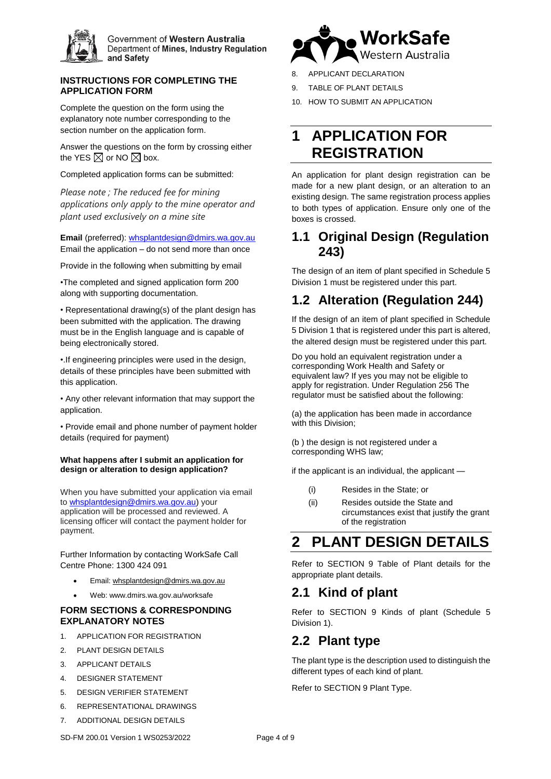

Government of Western Australia Department of Mines, Industry Regulation and Safety

#### **INSTRUCTIONS FOR COMPLETING THE APPLICATION FORM**

Complete the question on the form using the explanatory note number corresponding to the section number on the application form.

Answer the questions on the form by crossing either the YES  $\boxtimes$  or NO  $\boxtimes$  box.

Completed application forms can be submitted:

*Please note ; The reduced fee for mining applications only apply to the mine operator and plant used exclusively on a mine site*

**Email** (preferred): [whsplantdesign@dmirs.wa.gov.au](mailto:whsplantdesign@dmirs.wa.gov.au) Email the application – do not send more than once

Provide in the following when submitting by email

•The completed and signed application form 200 along with supporting documentation.

• Representational drawing(s) of the plant design has been submitted with the application. The drawing must be in the English language and is capable of being electronically stored.

•.If engineering principles were used in the design, details of these principles have been submitted with this application.

• Any other relevant information that may support the application.

• Provide email and phone number of payment holder details (required for payment)

#### **What happens after I submit an application for design or alteration to design application?**

When you have submitted your application via email to [whsplantdesign@dmirs.wa.gov.au\)](mailto:whsplantdesign@dmirs.wa.gov.au) your application will be processed and reviewed. A licensing officer will contact the payment holder for payment.

Further Information by contacting WorkSafe Call Centre Phone: 1300 424 091

- Email: [whsplantdesign@dmirs.wa.gov.au](mailto:whsplantdesign@dmirs.wa.gov.au)
- Web: www.dmirs.wa.gov.au/worksafe

#### **FORM SECTIONS & CORRESPONDING EXPLANATORY NOTES**

- 1. APPLICATION FOR REGISTRATION
- 2. PLANT DESIGN DETAILS
- 3. APPLICANT DETAILS
- 4. DESIGNER STATEMENT
- 5. DESIGN VERIFIER STATEMENT
- 6. REPRESENTATIONAL DRAWINGS
- 7. ADDITIONAL DESIGN DETAILS



10. HOW TO SUBMIT AN APPLICATION

# **1 APPLICATION FOR REGISTRATION**

An application for plant design registration can be made for a new plant design, or an alteration to an existing design. The same registration process applies to both types of application. Ensure only one of the boxes is crossed.

**WorkSafe** 

#### **1.1 Original Design (Regulation 243)**

The design of an item of plant specified in Schedule 5 Division 1 must be registered under this part.

## **1.2 Alteration (Regulation 244)**

If the design of an item of plant specified in Schedule 5 Division 1 that is registered under this part is altered, the altered design must be registered under this part.

Do you hold an equivalent registration under a corresponding Work Health and Safety or equivalent law? If yes you may not be eligible to apply for registration. Under Regulation 256 The regulator must be satisfied about the following:

(a) the application has been made in accordance with this Division;

(b ) the design is not registered under a corresponding WHS law;

if the applicant is an individual, the applicant —

- (i) Resides in the State; or
- (ii) Resides outside the State and circumstances exist that justify the grant of the registration

# **2 PLANT DESIGN DETAILS**

Refer to SECTION 9 Table of Plant details for the appropriate plant details.

#### **2.1 Kind of plant**

Refer to SECTION 9 Kinds of plant (Schedule 5 Division 1).

#### **2.2 Plant type**

The plant type is the description used to distinguish the different types of each kind of plant.

Refer to SECTION 9 Plant Type.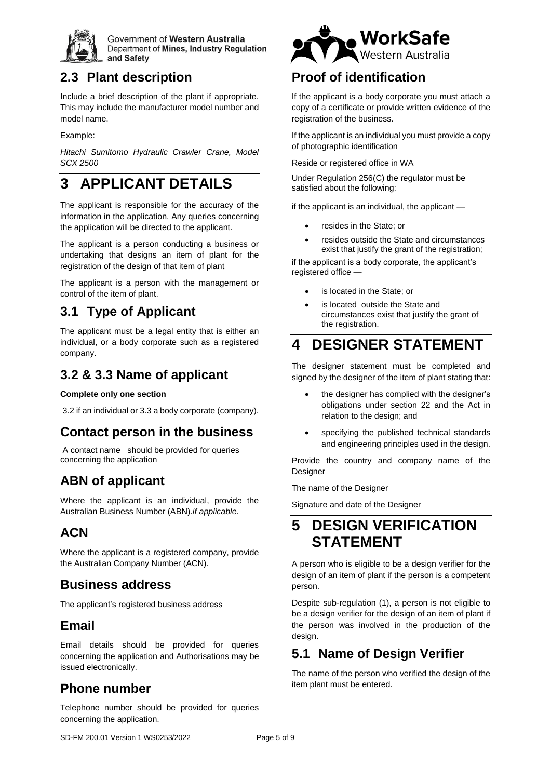

Government of Western Australia Department of Mines, Industry Regulation and Safety

## **2.3 Plant description**

Include a brief description of the plant if appropriate. This may include the manufacturer model number and model name.

Example:

*Hitachi Sumitomo Hydraulic Crawler Crane, Model SCX 2500*

# **3 APPLICANT DETAILS**

The applicant is responsible for the accuracy of the information in the application. Any queries concerning the application will be directed to the applicant.

The applicant is a person conducting a business or undertaking that designs an item of plant for the registration of the design of that item of plant

The applicant is a person with the management or control of the item of plant.

# **3.1 Type of Applicant**

The applicant must be a legal entity that is either an individual, or a body corporate such as a registered company.

### **3.2 & 3.3 Name of applicant**

#### **Complete only one section**

3.2 if an individual or 3.3 a body corporate (company).

## **Contact person in the business**

A contact name should be provided for queries concerning the application

## **ABN of applicant**

Where the applicant is an individual, provide the Australian Business Number (ABN).*if applicable.*

## **ACN**

Where the applicant is a registered company, provide the Australian Company Number (ACN).

#### **Business address**

The applicant's registered business address

### **Email**

Email details should be provided for queries concerning the application and Authorisations may be issued electronically.

## **Phone number**

Telephone number should be provided for queries concerning the application.



## **Proof of identification**

If the applicant is a body corporate you must attach a copy of a certificate or provide written evidence of the registration of the business.

If the applicant is an individual you must provide a copy of photographic identification

Reside or registered office in WA

Under Regulation 256(C) the regulator must be satisfied about the following:

if the applicant is an individual, the applicant —

- resides in the State; or
- resides outside the State and circumstances exist that justify the grant of the registration;

if the applicant is a body corporate, the applicant's registered office —

- is located in the State; or
- is located outside the State and circumstances exist that justify the grant of the registration.

# **4 DESIGNER STATEMENT**

The designer statement must be completed and signed by the designer of the item of plant stating that:

- the designer has complied with the designer's obligations under section 22 and the Act in relation to the design; and
- specifying the published technical standards and engineering principles used in the design.

Provide the country and company name of the Designer

The name of the Designer

Signature and date of the Designer

# **5 DESIGN VERIFICATION STATEMENT**

A person who is eligible to be a design verifier for the design of an item of plant if the person is a competent person.

Despite sub-regulation (1), a person is not eligible to be a design verifier for the design of an item of plant if the person was involved in the production of the design.

## **5.1 Name of Design Verifier**

The name of the person who verified the design of the item plant must be entered.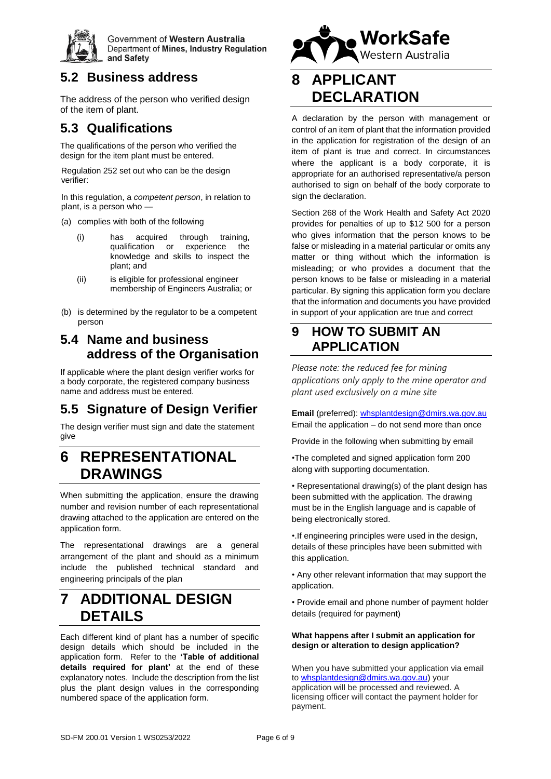

Government of Western Australia Department of Mines, Industry Regulation and Safety

## **5.2 Business address**

The address of the person who verified design of the item of plant.

### **5.3 Qualifications**

The qualifications of the person who verified the design for the item plant must be entered.

Regulation 252 set out who can be the design verifier:

In this regulation, a *competent person*, in relation to plant, is a person who -

- (a) complies with both of the following
	- (i) has acquired through training, qualification knowledge and skills to inspect the plant; and
	- (ii) is eligible for professional engineer membership of Engineers Australia; or
- (b) is determined by the regulator to be a competent person

### **5.4 Name and business address of the Organisation**

If applicable where the plant design verifier works for a body corporate, the registered company business name and address must be entered.

# **5.5 Signature of Design Verifier**

The design verifier must sign and date the statement give

## **6 REPRESENTATIONAL DRAWINGS**

When submitting the application, ensure the drawing number and revision number of each representational drawing attached to the application are entered on the application form.

The representational drawings are a general arrangement of the plant and should as a minimum include the published technical standard and engineering principals of the plan

# **7 ADDITIONAL DESIGN DETAILS**

Each different kind of plant has a number of specific design details which should be included in the application form. Refer to the **'Table of additional details required for plant'** at the end of these explanatory notes. Include the description from the list plus the plant design values in the corresponding numbered space of the application form.



# **8 APPLICANT DECLARATION**

A declaration by the person with management or control of an item of plant that the information provided in the application for registration of the design of an item of plant is true and correct. In circumstances where the applicant is a body corporate, it is appropriate for an authorised representative/a person authorised to sign on behalf of the body corporate to sign the declaration.

Section 268 of the Work Health and Safety Act 2020 provides for penalties of up to \$12 500 for a person who gives information that the person knows to be false or misleading in a material particular or omits any matter or thing without which the information is misleading; or who provides a document that the person knows to be false or misleading in a material particular. By signing this application form you declare that the information and documents you have provided in support of your application are true and correct

### **9 HOW TO SUBMIT AN APPLICATION**

*Please note: the reduced fee for mining applications only apply to the mine operator and plant used exclusively on a mine site*

**Email** (preferred)[: whsplantdesign@dmirs.wa.gov.au](mailto:whsplantdesign@dmirs.wa.gov.au) Email the application – do not send more than once

Provide in the following when submitting by email

•The completed and signed application form 200 along with supporting documentation.

• Representational drawing(s) of the plant design has been submitted with the application. The drawing must be in the English language and is capable of being electronically stored.

•.If engineering principles were used in the design, details of these principles have been submitted with this application.

• Any other relevant information that may support the application.

• Provide email and phone number of payment holder details (required for payment)

#### **What happens after I submit an application for design or alteration to design application?**

When you have submitted your application via email to [whsplantdesign@dmirs.wa.gov.au\)](mailto:whsplantdesign@dmirs.wa.gov.au) your application will be processed and reviewed. A licensing officer will contact the payment holder for payment.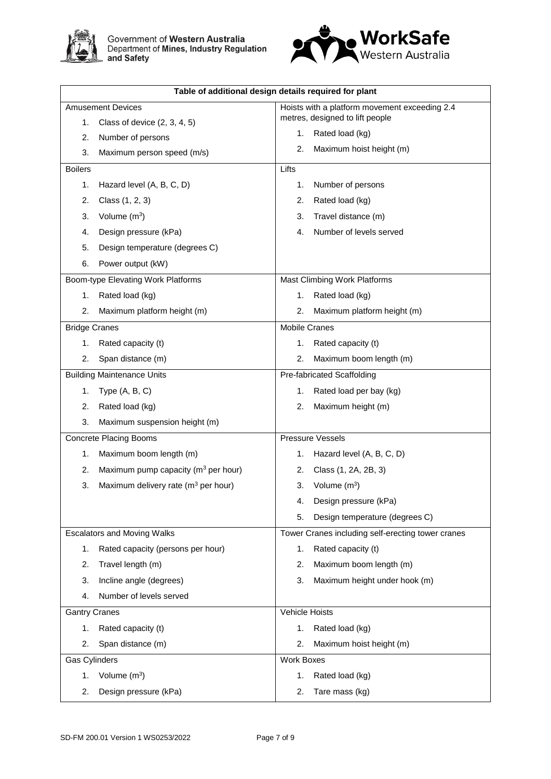



| Table of additional design details required for plant |                                                   |  |  |
|-------------------------------------------------------|---------------------------------------------------|--|--|
| <b>Amusement Devices</b>                              | Hoists with a platform movement exceeding 2.4     |  |  |
| Class of device $(2, 3, 4, 5)$<br>1.                  | metres, designed to lift people                   |  |  |
| Number of persons                                     | Rated load (kg)                                   |  |  |
| 2.                                                    | 1.                                                |  |  |
| 3.                                                    | Maximum hoist height (m)                          |  |  |
| Maximum person speed (m/s)                            | 2.                                                |  |  |
| <b>Boilers</b>                                        | Lifts                                             |  |  |
| Hazard level (A, B, C, D)                             | Number of persons                                 |  |  |
| 1.                                                    | 1.                                                |  |  |
| 2.                                                    | Rated load (kg)                                   |  |  |
| Class (1, 2, 3)                                       | 2.                                                |  |  |
| Volume $(m^3)$                                        | Travel distance (m)                               |  |  |
| 3.                                                    | 3.                                                |  |  |
| Design pressure (kPa)                                 | Number of levels served                           |  |  |
| 4.                                                    | 4.                                                |  |  |
| Design temperature (degrees C)<br>5.                  |                                                   |  |  |
| Power output (kW)<br>6.                               |                                                   |  |  |
| Boom-type Elevating Work Platforms                    | Mast Climbing Work Platforms                      |  |  |
| Rated load (kg)                                       | Rated load (kg)                                   |  |  |
| 1.                                                    | 1.                                                |  |  |
| 2.                                                    | 2.                                                |  |  |
| Maximum platform height (m)                           | Maximum platform height (m)                       |  |  |
| <b>Bridge Cranes</b>                                  | <b>Mobile Cranes</b>                              |  |  |
| Rated capacity (t)                                    | Rated capacity (t)                                |  |  |
| 1.                                                    | 1.                                                |  |  |
| 2.                                                    | Maximum boom length (m)                           |  |  |
| Span distance (m)                                     | 2.                                                |  |  |
| <b>Building Maintenance Units</b>                     | Pre-fabricated Scaffolding                        |  |  |
| Type $(A, B, C)$                                      | Rated load per bay (kg)                           |  |  |
| 1.                                                    | 1.                                                |  |  |
| Rated load (kg)                                       | 2.                                                |  |  |
| 2.                                                    | Maximum height (m)                                |  |  |
| 3.<br>Maximum suspension height (m)                   |                                                   |  |  |
| <b>Concrete Placing Booms</b>                         | <b>Pressure Vessels</b>                           |  |  |
| Maximum boom length (m)                               | Hazard level (A, B, C, D)                         |  |  |
| 1.                                                    | 1.                                                |  |  |
| Maximum pump capacity (m <sup>3</sup> per hour)       | Class (1, 2A, 2B, 3)                              |  |  |
| 2.                                                    | 2.                                                |  |  |
| Maximum delivery rate (m <sup>3</sup> per hour)       | Volume $(m^3)$                                    |  |  |
| 3.                                                    | 3.                                                |  |  |
|                                                       | Design pressure (kPa)<br>4.                       |  |  |
|                                                       | Design temperature (degrees C)<br>5.              |  |  |
| <b>Escalators and Moving Walks</b>                    | Tower Cranes including self-erecting tower cranes |  |  |
| Rated capacity (persons per hour)                     | Rated capacity (t)                                |  |  |
| 1.                                                    | 1.                                                |  |  |
| 2.                                                    | Maximum boom length (m)                           |  |  |
| Travel length (m)                                     | 2.                                                |  |  |
| Incline angle (degrees)                               | Maximum height under hook (m)                     |  |  |
| 3.                                                    | 3.                                                |  |  |
| Number of levels served<br>4.                         |                                                   |  |  |
| <b>Gantry Cranes</b>                                  | Vehicle Hoists                                    |  |  |
| 1.                                                    | 1.                                                |  |  |
| Rated capacity (t)                                    | Rated load (kg)                                   |  |  |
| 2.                                                    | 2.                                                |  |  |
| Span distance (m)                                     | Maximum hoist height (m)                          |  |  |
| Gas Cylinders                                         | <b>Work Boxes</b>                                 |  |  |
| Volume $(m^3)$                                        | Rated load (kg)                                   |  |  |
| 1.                                                    | 1.                                                |  |  |
| Design pressure (kPa)                                 | 2.                                                |  |  |
| 2.                                                    | Tare mass (kg)                                    |  |  |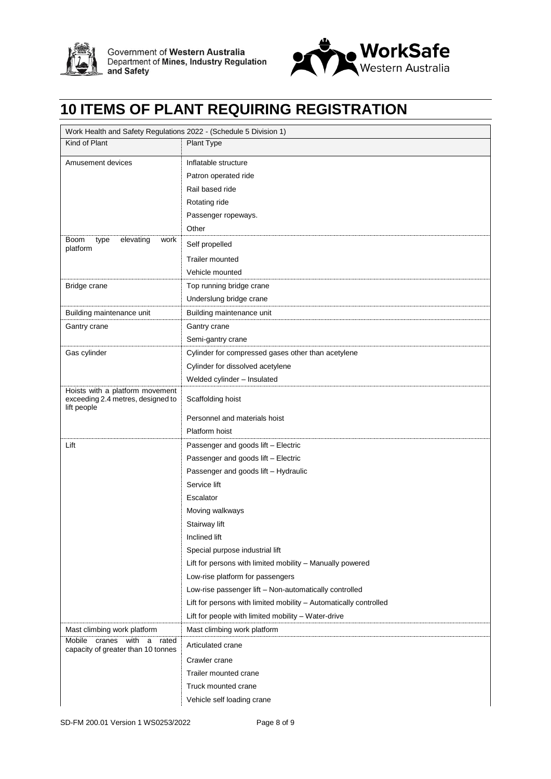



# **10 ITEMS OF PLANT REQUIRING REGISTRATION**

| Work Health and Safety Regulations 2022 - (Schedule 5 Division 1)                   |                                                                   |
|-------------------------------------------------------------------------------------|-------------------------------------------------------------------|
| Kind of Plant                                                                       | <b>Plant Type</b>                                                 |
| Amusement devices                                                                   | Inflatable structure                                              |
|                                                                                     | Patron operated ride                                              |
|                                                                                     | Rail based ride                                                   |
|                                                                                     | Rotating ride                                                     |
|                                                                                     | Passenger ropeways.                                               |
|                                                                                     | Other                                                             |
| elevating<br>Boom<br>type<br>work<br>platform                                       | Self propelled                                                    |
|                                                                                     | <b>Trailer mounted</b>                                            |
|                                                                                     | Vehicle mounted                                                   |
| Bridge crane                                                                        | Top running bridge crane                                          |
|                                                                                     | Underslung bridge crane                                           |
| Building maintenance unit                                                           | Building maintenance unit                                         |
| Gantry crane                                                                        | Gantry crane                                                      |
|                                                                                     | Semi-gantry crane                                                 |
| Gas cylinder                                                                        | Cylinder for compressed gases other than acetylene                |
|                                                                                     | Cylinder for dissolved acetylene                                  |
|                                                                                     | Welded cylinder - Insulated                                       |
| Hoists with a platform movement<br>exceeding 2.4 metres, designed to<br>lift people | Scaffolding hoist                                                 |
|                                                                                     | Personnel and materials hoist                                     |
|                                                                                     | Platform hoist                                                    |
| Lift                                                                                | Passenger and goods lift - Electric                               |
|                                                                                     | Passenger and goods lift - Electric                               |
|                                                                                     | Passenger and goods lift - Hydraulic                              |
|                                                                                     | Service lift                                                      |
|                                                                                     | Escalator                                                         |
|                                                                                     | Moving walkways                                                   |
|                                                                                     | Stairway lift                                                     |
|                                                                                     | Inclined lift                                                     |
|                                                                                     | Special purpose industrial lift                                   |
|                                                                                     | Lift for persons with limited mobility - Manually powered         |
|                                                                                     | Low-rise platform for passengers                                  |
|                                                                                     | Low-rise passenger lift - Non-automatically controlled            |
|                                                                                     | Lift for persons with limited mobility - Automatically controlled |
|                                                                                     | Lift for people with limited mobility - Water-drive               |
| Mast climbing work platform                                                         | Mast climbing work platform                                       |
| cranes with a rated<br>Mobile<br>capacity of greater than 10 tonnes                 | Articulated crane                                                 |
|                                                                                     | Crawler crane                                                     |
|                                                                                     | Trailer mounted crane                                             |
|                                                                                     | Truck mounted crane                                               |
|                                                                                     | Vehicle self loading crane                                        |